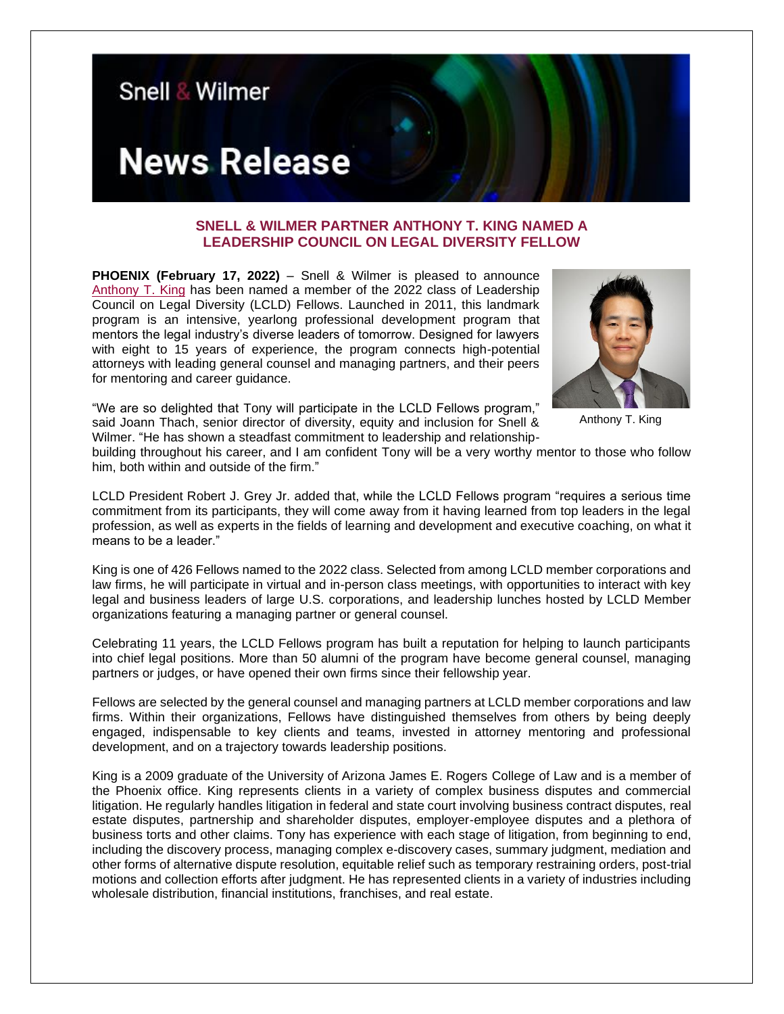

## **SNELL & WILMER PARTNER ANTHONY T. KING NAMED A LEADERSHIP COUNCIL ON LEGAL DIVERSITY FELLOW**

**PHOENIX (February 17, 2022)** – Snell & Wilmer is pleased to announce [Anthony T. King](https://www.swlaw.com/people/anthony_king) has been named a member of the 2022 class of Leadership Council on Legal Diversity (LCLD) Fellows. Launched in 2011, this landmark program is an intensive, yearlong professional development program that mentors the legal industry's diverse leaders of tomorrow. Designed for lawyers with eight to 15 years of experience, the program connects high-potential attorneys with leading general counsel and managing partners, and their peers for mentoring and career guidance.



Anthony T. King

"We are so delighted that Tony will participate in the LCLD Fellows program," said Joann Thach, senior director of diversity, equity and inclusion for Snell & Wilmer. "He has shown a steadfast commitment to leadership and relationship-

building throughout his career, and I am confident Tony will be a very worthy mentor to those who follow him, both within and outside of the firm."

LCLD President Robert J. Grey Jr. added that, while the LCLD Fellows program "requires a serious time commitment from its participants, they will come away from it having learned from top leaders in the legal profession, as well as experts in the fields of learning and development and executive coaching, on what it means to be a leader."

King is one of 426 Fellows named to the 2022 class. Selected from among LCLD member corporations and law firms, he will participate in virtual and in-person class meetings, with opportunities to interact with key legal and business leaders of large U.S. corporations, and leadership lunches hosted by LCLD Member organizations featuring a managing partner or general counsel.

Celebrating 11 years, the LCLD Fellows program has built a reputation for helping to launch participants into chief legal positions. More than 50 alumni of the program have become general counsel, managing partners or judges, or have opened their own firms since their fellowship year.

Fellows are selected by the general counsel and managing partners at LCLD member corporations and law firms. Within their organizations, Fellows have distinguished themselves from others by being deeply engaged, indispensable to key clients and teams, invested in attorney mentoring and professional development, and on a trajectory towards leadership positions.

King is a 2009 graduate of the University of Arizona James E. Rogers College of Law and is a member of the Phoenix office. King represents clients in a variety of complex business disputes and commercial litigation. He regularly handles litigation in federal and state court involving business contract disputes, real estate disputes, partnership and shareholder disputes, employer-employee disputes and a plethora of business torts and other claims. Tony has experience with each stage of litigation, from beginning to end, including the discovery process, managing complex e-discovery cases, summary judgment, mediation and other forms of alternative dispute resolution, equitable relief such as temporary restraining orders, post-trial motions and collection efforts after judgment. He has represented clients in a variety of industries including wholesale distribution, financial institutions, franchises, and real estate.